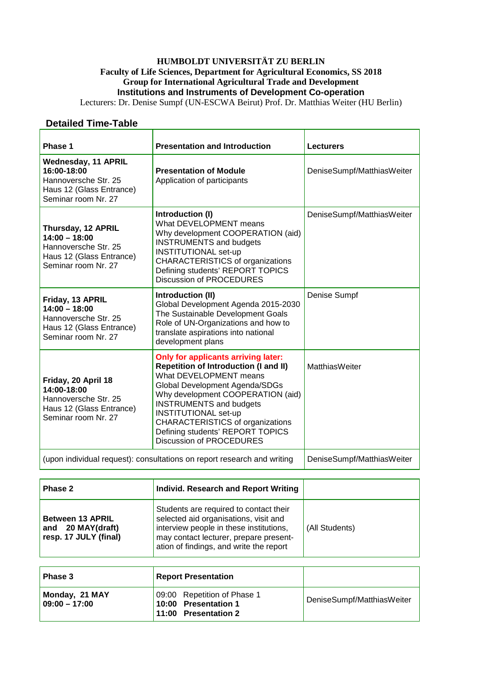## **HUMBOLDT UNIVERSITÄT ZU BERLIN Faculty of Life Sciences, Department for Agricultural Economics, SS 2018 Group for International Agricultural Trade and Development Institutions and Instruments of Development Co-operation**

Lecturers: Dr. Denise Sumpf (UN-ESCWA Beirut) Prof. Dr. Matthias Weiter (HU Berlin)

## **Detailed Time-Table**

| Phase 1                                                                                                              | <b>Presentation and Introduction</b>                                                                                                                                                                                                                                                                                                                                           | <b>Lecturers</b>           |
|----------------------------------------------------------------------------------------------------------------------|--------------------------------------------------------------------------------------------------------------------------------------------------------------------------------------------------------------------------------------------------------------------------------------------------------------------------------------------------------------------------------|----------------------------|
| <b>Wednesday, 11 APRIL</b><br>16:00-18:00<br>Hannoversche Str. 25<br>Haus 12 (Glass Entrance)<br>Seminar room Nr. 27 | <b>Presentation of Module</b><br>Application of participants                                                                                                                                                                                                                                                                                                                   | DeniseSumpf/MatthiasWeiter |
| Thursday, 12 APRIL<br>$14:00 - 18:00$<br>Hannoversche Str. 25<br>Haus 12 (Glass Entrance)<br>Seminar room Nr. 27     | Introduction (I)<br>What DEVELOPMENT means<br>Why development COOPERATION (aid)<br><b>INSTRUMENTS and budgets</b><br><b>INSTITUTIONAL set-up</b><br><b>CHARACTERISTICS of organizations</b><br>Defining students' REPORT TOPICS<br><b>Discussion of PROCEDURES</b>                                                                                                             | DeniseSumpf/MatthiasWeiter |
| Friday, 13 APRIL<br>$14:00 - 18:00$<br>Hannoversche Str. 25<br>Haus 12 (Glass Entrance)<br>Seminar room Nr. 27       | Introduction (II)<br>Global Development Agenda 2015-2030<br>The Sustainable Development Goals<br>Role of UN-Organizations and how to<br>translate aspirations into national<br>development plans                                                                                                                                                                               | Denise Sumpf               |
| Friday, 20 April 18<br>14:00-18:00<br>Hannoversche Str. 25<br>Haus 12 (Glass Entrance)<br>Seminar room Nr. 27        | <b>Only for applicants arriving later:</b><br><b>Repetition of Introduction (I and II)</b><br>What DEVELOPMENT means<br>Global Development Agenda/SDGs<br>Why development COOPERATION (aid)<br><b>INSTRUMENTS and budgets</b><br><b>INSTITUTIONAL set-up</b><br><b>CHARACTERISTICS of organizations</b><br>Defining students' REPORT TOPICS<br><b>Discussion of PROCEDURES</b> | <b>MatthiasWeiter</b>      |
| (upon individual request): consultations on report research and writing                                              |                                                                                                                                                                                                                                                                                                                                                                                | DeniseSumpf/MatthiasWeiter |

| Phase 2                                                               | Individ. Research and Report Writing                                                                                                                                                                            |                |
|-----------------------------------------------------------------------|-----------------------------------------------------------------------------------------------------------------------------------------------------------------------------------------------------------------|----------------|
| <b>Between 13 APRIL</b><br>and 20 MAY(draft)<br>resp. 17 JULY (final) | Students are required to contact their<br>selected aid organisations, visit and<br>interview people in these institutions,<br>may contact lecturer, prepare present-<br>ation of findings, and write the report | (All Students) |

| <b>Phase 3</b>                    | <b>Report Presentation</b>                                                  |                            |
|-----------------------------------|-----------------------------------------------------------------------------|----------------------------|
| Monday, 21 MAY<br>$09:00 - 17:00$ | 09:00 Repetition of Phase 1<br>10:00 Presentation 1<br>11:00 Presentation 2 | DeniseSumpf/MatthiasWeiter |